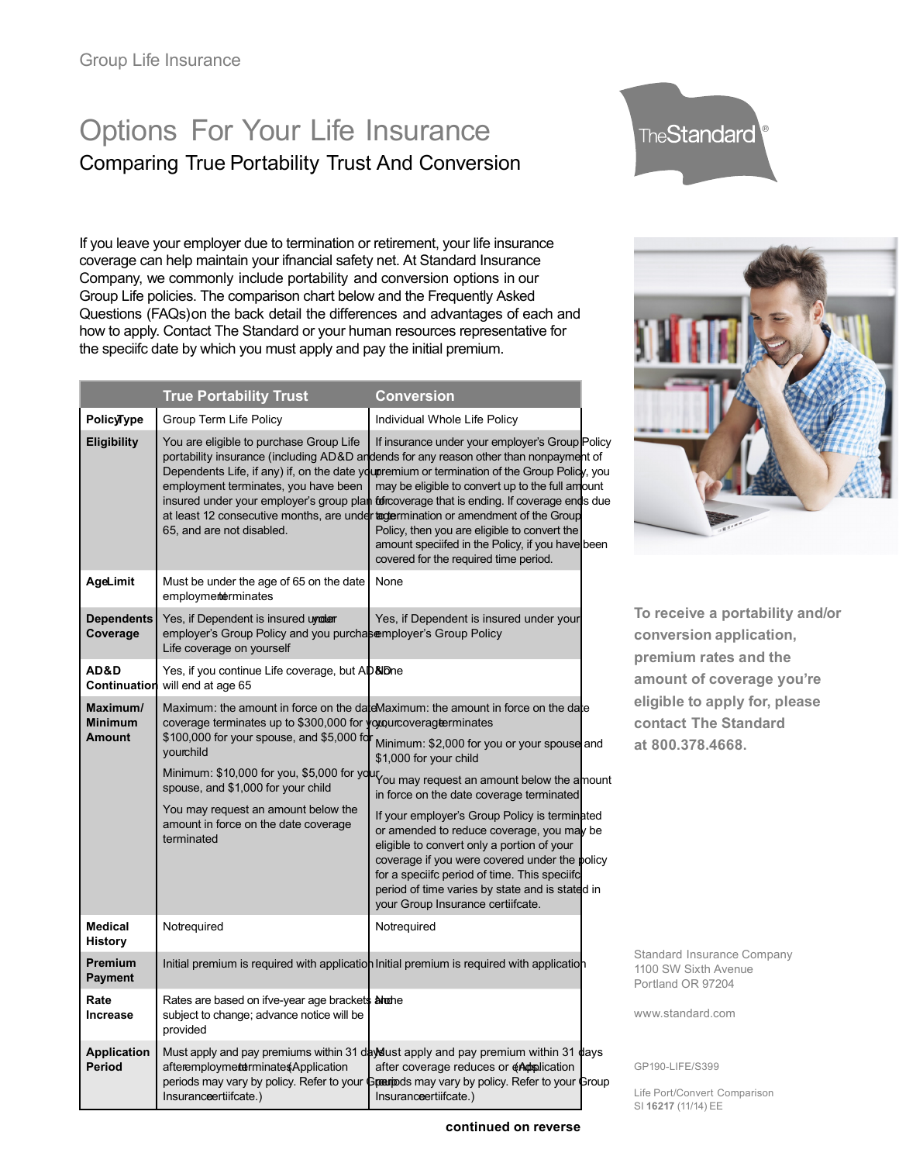# Options For Your Life Insurance Comparing True Portability Trust And Conversion

If you leave your employer due to termination or retirement, your life insurance coverage can help maintain your ifnancial safety net. At Standard Insurance Company, we commonly include portability and conversion options in our Group Life policies. The comparison chart below and the Frequently Asked Questions (FAQs) on the back detail the differences and advantages of each and how to apply. Contact The Standard or your human resources representative for the speciifc date by which you must apply and pay the initial premium.

|                                             | <b>True Portability Trust</b>                                                                                                                                                                                                                                  | <b>Conversion</b>                                                                                                                                                                                                                                                                                                                                                                                                                                                                                                                                                                                                               |
|---------------------------------------------|----------------------------------------------------------------------------------------------------------------------------------------------------------------------------------------------------------------------------------------------------------------|---------------------------------------------------------------------------------------------------------------------------------------------------------------------------------------------------------------------------------------------------------------------------------------------------------------------------------------------------------------------------------------------------------------------------------------------------------------------------------------------------------------------------------------------------------------------------------------------------------------------------------|
| <b>PolicyType</b>                           | Group Term Life Policy                                                                                                                                                                                                                                         | Individual Whole Life Policy                                                                                                                                                                                                                                                                                                                                                                                                                                                                                                                                                                                                    |
| <b>Eligibility</b>                          | You are eligible to purchase Group Life<br>employment terminates, you have been<br>65, and are not disabled.                                                                                                                                                   | If insurance under your employer's Group Policy<br>portability insurance (including AD&D andends for any reason other than nonpayment of<br>Dependents Life, if any) if, on the date youpremium or termination of the Group Policy, you<br>may be eligible to convert up to the full amount<br>insured under your employer's group plan to froverage that is ending. If coverage ends due<br>at least 12 consecutive months, are under tagermination or amendment of the Group<br>Policy, then you are eligible to convert the<br>amount speciifed in the Policy, if you have been<br>covered for the required time period.     |
| AgeLimit                                    | Must be under the age of 65 on the date<br>employmemerminates                                                                                                                                                                                                  | None                                                                                                                                                                                                                                                                                                                                                                                                                                                                                                                                                                                                                            |
| <b>Dependents</b><br>Coverage               | Yes, if Dependent is insured uyroler<br>employer's Group Policy and you purchasemployer's Group Policy<br>Life coverage on yourself                                                                                                                            | Yes, if Dependent is insured under your                                                                                                                                                                                                                                                                                                                                                                                                                                                                                                                                                                                         |
| AD&D<br>Continuation                        | Yes, if you continue Life coverage, but AD&Dne<br>will end at age 65                                                                                                                                                                                           |                                                                                                                                                                                                                                                                                                                                                                                                                                                                                                                                                                                                                                 |
| Maximum/<br><b>Minimum</b><br><b>Amount</b> | coverage terminates up to \$300,000 for voyourcoverage erminates<br>\$100,000 for your spouse, and \$5,000 for<br>vourchild<br>spouse, and \$1,000 for your child<br>You may request an amount below the<br>amount in force on the date coverage<br>terminated | Maximum: the amount in force on the dateMaximum: the amount in force on the date<br>Minimum: \$2,000 for you or your spouse and<br>\$1,000 for your child<br>Minimum: \$10,000 for you, \$5,000 for you way request an amount below the amount<br>in force on the date coverage terminated<br>If your employer's Group Policy is terminated<br>or amended to reduce coverage, you may be<br>eligible to convert only a portion of your<br>coverage if you were covered under the policy<br>for a speciifc period of time. This speciifc<br>period of time varies by state and is stated in<br>your Group Insurance certiifcate. |
| <b>Medical</b><br><b>History</b>            | Notrequired                                                                                                                                                                                                                                                    | Notreguired                                                                                                                                                                                                                                                                                                                                                                                                                                                                                                                                                                                                                     |
| <b>Premium</b><br><b>Payment</b>            |                                                                                                                                                                                                                                                                | Initial premium is required with application Initial premium is required with application                                                                                                                                                                                                                                                                                                                                                                                                                                                                                                                                       |
| Rate<br><b>Increase</b>                     | Rates are based on ifve-year age brackets alreader<br>subject to change; advance notice will be<br>provided                                                                                                                                                    |                                                                                                                                                                                                                                                                                                                                                                                                                                                                                                                                                                                                                                 |
| <b>Application</b><br>Period                | afteremploymeterminates Application<br>periods may vary by policy. Refer to your<br>Insuranceertiifcate.)                                                                                                                                                      | Must apply and pay premiums within 31 days ust apply and pay premium within 31 days<br>after coverage reduces or eAdpolication<br>Greenods may vary by policy. Refer to your Group<br>Insuranceertiifcate.)                                                                                                                                                                                                                                                                                                                                                                                                                     |





**To receive a portability and/or conversion application, premium rates and the amount of coverage you're eligible to apply for, please contact The Standard at 800.378.4668.** 

Standard Insurance Company 1100 SW Sixth Avenue Portland OR 97204

www.standard.com

GP190-LIFE/S399

Life Port/Convert Comparison SI **16217** (11/14) EE